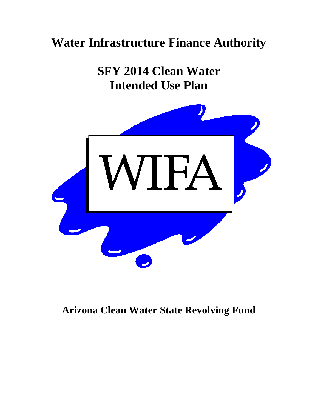# **Water Infrastructure Finance Authority**

**SFY 2014 Clean Water Intended Use Plan** 



# **Arizona Clean Water State Revolving Fund**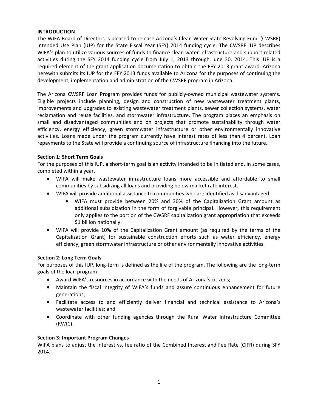#### **INTRODUCTION**

The WIFA Board of Directors is pleased to release Arizona's Clean Water State Revolving Fund (CWSRF) Intended Use Plan (IUP) for the State Fiscal Year (SFY) 2014 funding cycle. The CWSRF IUP describes WIFA's plan to utilize various sources of funds to finance clean water infrastructure and support related activities during the SFY 2014 funding cycle from July 1, 2013 through June 30, 2014. This IUP is a required element of the grant application documentation to obtain the FFY 2013 grant award. Arizona herewith submits its IUP for the FFY 2013 funds available to Arizona for the purposes of continuing the development, implementation and administration of the CWSRF program in Arizona.

The Arizona CWSRF Loan Program provides funds for publicly‐owned municipal wastewater systems. Eligible projects include planning, design and construction of new wastewater treatment plants, improvements and upgrades to existing wastewater treatment plants, sewer collection systems, water reclamation and reuse facilities, and stormwater infrastructure. The program places an emphasis on small and disadvantaged communities and on projects that promote sustainability through water efficiency, energy efficiency, green stormwater infrastructure or other environmentally innovative activities. Loans made under the program currently have interest rates of less than 4 percent. Loan repayments to the State will provide a continuing source of infrastructure financing into the future.

#### **Section 1: Short Term Goals**

For the purposes of this IUP, a short-term goal is an activity intended to be initiated and, in some cases, completed within a year.

- WIFA will make wastewater infrastructure loans more accessible and affordable to small communities by subsidizing all loans and providing below market rate interest.
- WIFA will provide additional assistance to communities who are identified as disadvantaged.
	- WIFA must provide between 20% and 30% of the Capitalization Grant amount as additional subsidization in the form of forgivable principal. However, this requirement only applies to the portion of the CWSRF capitalization grant appropriation that exceeds \$1 billion nationally.
- WIFA will provide 10% of the Capitalization Grant amount (as required by the terms of the Capitalization Grant) for sustainable construction efforts such as water efficiency, energy efficiency, green stormwater infrastructure or other environmentally innovative activities.

## **Section 2: Long Term Goals**

For purposes of this IUP, long-term is defined as the life of the program. The following are the long-term goals of the loan program:

- Award WIFA's resources in accordance with the needs of Arizona's citizens;
- Maintain the fiscal integrity of WIFA's funds and assure continuous enhancement for future generations;
- Facilitate access to and efficiently deliver financial and technical assistance to Arizona's wastewater facilities; and
- Coordinate with other funding agencies through the Rural Water Infrastructure Committee (RWIC).

#### **Section 3: Important Program Changes**

WIFA plans to adjust the interest vs. fee ratio of the Combined Interest and Fee Rate (CIFR) during SFY 2014.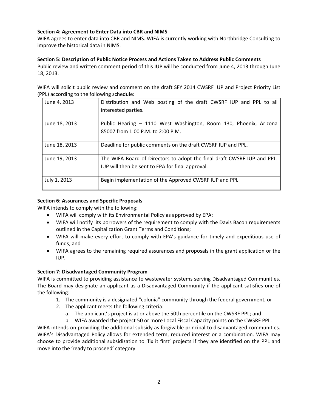## **Section 4: Agreement to Enter Data into CBR and NIMS**

WIFA agrees to enter data into CBR and NIMS. WIFA is currently working with Northbridge Consulting to improve the historical data in NIMS.

#### **Section 5: Description of Public Notice Process and Actions Taken to Address Public Comments**

Public review and written comment period of this IUP will be conducted from June 4, 2013 through June 18, 2013.

WIFA will solicit public review and comment on the draft SFY 2014 CWSRF IUP and Project Priority List (PPL) according to the following schedule:

| June 4, 2013  | Distribution and Web posting of the draft CWSRF IUP and PPL to all<br>interested parties.                                   |
|---------------|-----------------------------------------------------------------------------------------------------------------------------|
| June 18, 2013 | Public Hearing - 1110 West Washington, Room 130, Phoenix, Arizona<br>85007 from 1:00 P.M. to 2:00 P.M.                      |
| June 18, 2013 | Deadline for public comments on the draft CWSRF IUP and PPL.                                                                |
| June 19, 2013 | The WIFA Board of Directors to adopt the final draft CWSRF IUP and PPL.<br>IUP will then be sent to EPA for final approval. |
| July 1, 2013  | Begin implementation of the Approved CWSRF IUP and PPL                                                                      |

## **Section 6: Assurances and Specific Proposals**

WIFA intends to comply with the following:

- WIFA will comply with its Environmental Policy as approved by EPA;
- WIFA will notify its borrowers of the requirement to comply with the Davis Bacon requirements outlined in the Capitalization Grant Terms and Conditions;
- WIFA will make every effort to comply with EPA's guidance for timely and expeditious use of funds; and
- WIFA agrees to the remaining required assurances and proposals in the grant application or the IUP.

## **Section 7: Disadvantaged Community Program**

WIFA is committed to providing assistance to wastewater systems serving Disadvantaged Communities. The Board may designate an applicant as a Disadvantaged Community if the applicant satisfies one of the following:

- 1. The community is a designated "colonia" community through the federal government, or
- 2. The applicant meets the following criteria:
	- a. The applicant's project is at or above the 50th percentile on the CWSRF PPL; and
	- b. WIFA awarded the project 50 or more Local Fiscal Capacity points on the CWSRF PPL.

WIFA intends on providing the additional subsidy as forgivable principal to disadvantaged communities. WIFA's Disadvantaged Policy allows for extended term, reduced interest or a combination. WIFA may choose to provide additional subsidization to 'fix it first' projects if they are identified on the PPL and move into the 'ready to proceed' category.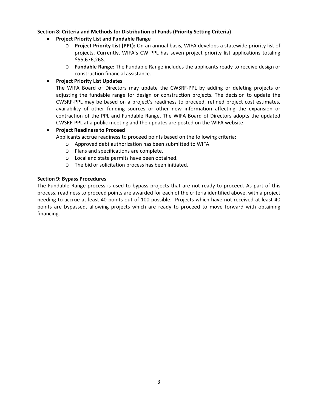#### **Section 8: Criteria and Methods for Distribution of Funds (Priority Setting Criteria)**

- **Project Priority List and Fundable Range**
	- o **Project Priority List (PPL):** On an annual basis, WIFA develops a statewide priority list of projects. Currently, WIFA's CW PPL has seven project priority list applications totaling \$55,676,268.
	- o **Fundable Range:** The Fundable Range includes the applicants ready to receive design or construction financial assistance.

#### **Project Priority List Updates**

The WIFA Board of Directors may update the CWSRF‐PPL by adding or deleting projects or adjusting the fundable range for design or construction projects. The decision to update the CWSRF‐PPL may be based on a project's readiness to proceed, refined project cost estimates, availability of other funding sources or other new information affecting the expansion or contraction of the PPL and Fundable Range. The WIFA Board of Directors adopts the updated CWSRF‐PPL at a public meeting and the updates are posted on the WIFA website.

#### **Project Readiness to Proceed**

Applicants accrue readiness to proceed points based on the following criteria:

o Approved debt authorization has been submitted to WIFA.

- o Plans and specifications are complete.
- o Local and state permits have been obtained.
- o The bid or solicitation process has been initiated.

#### **Section 9: Bypass Procedures**

The Fundable Range process is used to bypass projects that are not ready to proceed. As part of this process, readiness to proceed points are awarded for each of the criteria identified above, with a project needing to accrue at least 40 points out of 100 possible. Projects which have not received at least 40 points are bypassed, allowing projects which are ready to proceed to move forward with obtaining financing.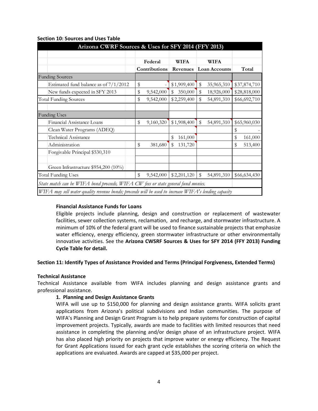| Arizona CWRF Sources & Uses for SFY 2014 (FFY 2013)                                                  |    |               |    |             |             |                      |    |              |
|------------------------------------------------------------------------------------------------------|----|---------------|----|-------------|-------------|----------------------|----|--------------|
|                                                                                                      |    |               |    |             |             |                      |    |              |
|                                                                                                      |    | Federal       |    | <b>WIFA</b> | <b>WIFA</b> |                      |    |              |
|                                                                                                      |    | Contributions |    | Revenues    |             | <b>Loan Accounts</b> |    | Total        |
| <b>Funding Sources</b>                                                                               |    |               |    |             |             |                      |    |              |
| Estimated fund balance as of $7/1/2012$                                                              | \$ |               |    | \$1,909,400 | \$          | 35,965,310           |    | \$37,874,710 |
| New funds expected in SFY 2013                                                                       | \$ | 9,542,000     | \$ | 350,000     | \$          | 18,926,000           |    | \$28,818,000 |
| <b>Total Funding Sources</b>                                                                         | \$ | 9,542,000     |    | \$2,259,400 | \$          | 54,891,310           |    | \$66,692,710 |
|                                                                                                      |    |               |    |             |             |                      |    |              |
| <b>Funding Uses</b>                                                                                  |    |               |    |             |             |                      |    |              |
| Financial Assistance Loans                                                                           | \$ | 9,160,320     |    | \$1,908,400 | \$          | 54,891,310           |    | \$65,960,030 |
| Clean Water Programs (ADEQ)                                                                          |    |               |    |             |             |                      | \$ |              |
| <b>Technical Assistance</b>                                                                          |    |               | \$ | 161,000     |             |                      | \$ | 161,000      |
| Administration                                                                                       | \$ | 381,680       | \$ | 131,720     |             |                      | \$ | 513,400      |
| Forgivable Principal \$530,310                                                                       |    |               |    |             |             |                      |    |              |
|                                                                                                      |    |               |    |             |             |                      |    |              |
| Green Infrastructure \$954,200 (10%)                                                                 |    |               |    |             |             |                      |    |              |
| <b>Total Funding Uses</b>                                                                            | \$ | 9,542,000     |    | \$2,201,120 | $\,$        | 54,891,310           |    | \$66,634,430 |
| State match can be WIFA bond proceeds, WIFA CW fees or state general fund monies.                    |    |               |    |             |             |                      |    |              |
| WIFA may sell water quality revenue bonds; proceeds will be used to increase WIFA's lending capacity |    |               |    |             |             |                      |    |              |

#### **Section 10: Sources and Uses Table**

#### **Financial Assistance Funds for Loans**

Eligible projects include planning, design and construction or replacement of wastewater facilities, sewer collection systems, reclamation, and recharge, and stormwater infrastructure. A minimum of 10% of the federal grant will be used to finance sustainable projects that emphasize water efficiency, energy efficiency, green stormwater infrastructure or other environmentally innovative activities. See the **Arizona CWSRF Sources & Uses for SFY 2014 (FFY 2013) Funding Cycle Table for detail.**

#### **Section 11: Identify Types of Assistance Provided and Terms (Principal Forgiveness, Extended Terms)**

#### **Technical Assistance**

Technical Assistance available from WIFA includes planning and design assistance grants and professional assistance.

#### **1. Planning and Design Assistance Grants**

WIFA will use up to \$150,000 for planning and design assistance grants. WIFA solicits grant applications from Arizona's political subdivisions and Indian communities. The purpose of WIFA's Planning and Design Grant Program is to help prepare systems for construction of capital improvement projects. Typically, awards are made to facilities with limited resources that need assistance in completing the planning and/or design phase of an infrastructure project. WIFA has also placed high priority on projects that improve water or energy efficiency. The Request for Grant Applications issued for each grant cycle establishes the scoring criteria on which the applications are evaluated. Awards are capped at \$35,000 per project.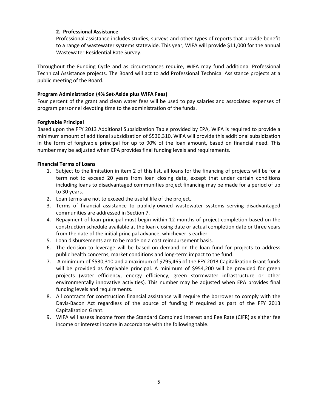#### **2. Professional Assistance**

Professional assistance includes studies, surveys and other types of reports that provide benefit to a range of wastewater systems statewide. This year, WIFA will provide \$11,000 for the annual Wastewater Residential Rate Survey.

Throughout the Funding Cycle and as circumstances require, WIFA may fund additional Professional Technical Assistance projects. The Board will act to add Professional Technical Assistance projects at a public meeting of the Board.

#### **Program Administration (4% Set‐Aside plus WIFA Fees)**

Four percent of the grant and clean water fees will be used to pay salaries and associated expenses of program personnel devoting time to the administration of the funds.

#### **Forgivable Principal**

Based upon the FFY 2013 Additional Subsidization Table provided by EPA, WIFA is required to provide a minimum amount of additional subsidization of \$530,310. WIFA will provide this additional subsidization in the form of forgivable principal for up to 90% of the loan amount, based on financial need. This number may be adjusted when EPA provides final funding levels and requirements.

#### **Financial Terms of Loans**

- 1. Subject to the limitation in item 2 of this list, all loans for the financing of projects will be for a term not to exceed 20 years from loan closing date, except that under certain conditions including loans to disadvantaged communities project financing may be made for a period of up to 30 years.
- 2. Loan terms are not to exceed the useful life of the project.
- 3. Terms of financial assistance to publicly‐owned wastewater systems serving disadvantaged communities are addressed in Section 7.
- 4. Repayment of loan principal must begin within 12 months of project completion based on the construction schedule available at the loan closing date or actual completion date or three years from the date of the initial principal advance, whichever is earlier.
- 5. Loan disbursements are to be made on a cost reimbursement basis.
- 6. The decision to leverage will be based on demand on the loan fund for projects to address public health concerns, market conditions and long‐term impact to the fund.
- 7. A minimum of \$530,310 and a maximum of \$795,465 of the FFY 2013 Capitalization Grant funds will be provided as forgivable principal. A minimum of \$954,200 will be provided for green projects (water efficiency, energy efficiency, green stormwater infrastructure or other environmentally innovative activities). This number may be adjusted when EPA provides final funding levels and requirements.
- 8. All contracts for construction financial assistance will require the borrower to comply with the Davis‐Bacon Act regardless of the source of funding if required as part of the FFY 2013 Capitalization Grant.
- 9. WIFA will assess income from the Standard Combined Interest and Fee Rate (CIFR) as either fee income or interest income in accordance with the following table.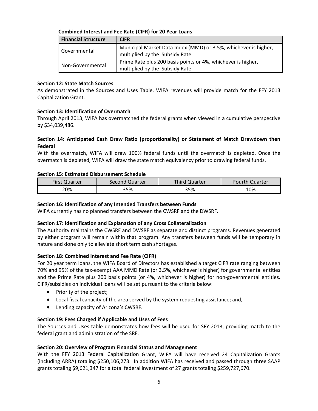#### **Combined Interest and Fee Rate (CIFR) for 20 Year Loans**

| <b>Financial Structure</b> | <b>CIFR</b>                                                     |
|----------------------------|-----------------------------------------------------------------|
| Governmental               | Municipal Market Data Index (MMD) or 3.5%, whichever is higher, |
|                            | multiplied by the Subsidy Rate                                  |
| Non-Governmental           | Prime Rate plus 200 basis points or 4%, whichever is higher,    |
|                            | multiplied by the Subsidy Rate                                  |

#### **Section 12: State Match Sources**

As demonstrated in the Sources and Uses Table, WIFA revenues will provide match for the FFY 2013 Capitalization Grant.

#### **Section 13: Identification of Overmatch**

Through April 2013, WIFA has overmatched the federal grants when viewed in a cumulative perspective by \$34,039,486.

#### **Section 14: Anticipated Cash Draw Ratio (proportionality) or Statement of Match Drawdown then Federal**

With the overmatch, WIFA will draw 100% federal funds until the overmatch is depleted. Once the overmatch is depleted, WIFA will draw the state match equivalency prior to drawing federal funds.

#### **Section 15: Estimated Disbursement Schedule**

| First Quarter | Second Quarter | <b>Third Quarter</b> | <b>Fourth Quarter</b> |
|---------------|----------------|----------------------|-----------------------|
| 20%           | 35%            | 35%                  | 10%                   |

#### **Section 16: Identification of any Intended Transfers between Funds**

WIFA currently has no planned transfers between the CWSRF and the DWSRF.

#### **Section 17: Identification and Explanation of any Cross Collateralization**

The Authority maintains the CWSRF and DWSRF as separate and distinct programs. Revenues generated by either program will remain within that program. Any transfers between funds will be temporary in nature and done only to alleviate short term cash shortages.

#### **Section 18: Combined Interest and Fee Rate (CIFR)**

For 20 year term loans, the WIFA Board of Directors has established a target CIFR rate ranging between 70% and 95% of the tax‐exempt AAA MMD Rate (or 3.5%, whichever is higher) for governmental entities and the Prime Rate plus 200 basis points (or 4%, whichever is higher) for non-governmental entities. CIFR/subsidies on individual loans will be set pursuant to the criteria below:

- Priority of the project;
- Local fiscal capacity of the area served by the system requesting assistance; and,
- Lending capacity of Arizona's CWSRF.

#### **Section 19: Fees Charged if Applicable and Uses of Fees**

The Sources and Uses table demonstrates how fees will be used for SFY 2013, providing match to the federal grant and administration of the SRF.

#### **Section 20: Overview of Program Financial Status and Management**

With the FFY 2013 Federal Capitalization Grant, WIFA will have received 24 Capitalization Grants (including ARRA) totaling \$250,106,273. In addition WIFA has received and passed through three SAAP grants totaling \$9,621,347 for a total federal investment of 27 grants totaling \$259,727,670.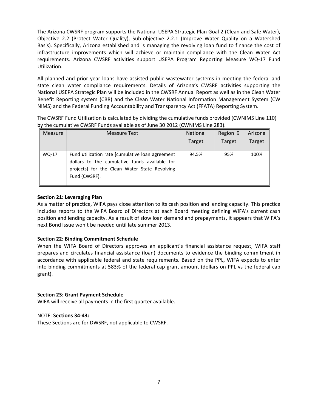The Arizona CWSRF program supports the National USEPA Strategic Plan Goal 2 (Clean and Safe Water), Objective 2.2 (Protect Water Quality), Sub‐objective 2.2.1 (Improve Water Quality on a Watershed Basis). Specifically, Arizona established and is managing the revolving loan fund to finance the cost of infrastructure improvements which will achieve or maintain compliance with the Clean Water Act requirements. Arizona CWSRF activities support USEPA Program Reporting Measure WQ‐17 Fund Utilization.

All planned and prior year loans have assisted public wastewater systems in meeting the federal and state clean water compliance requirements. Details of Arizona's CWSRF activities supporting the National USEPA Strategic Plan will be included in the CWSRF Annual Report as well as in the Clean Water Benefit Reporting system (CBR) and the Clean Water National Information Management System (CW NIMS) and the Federal Funding Accountability and Transparency Act (FFATA) Reporting System.

The CWSRF Fund Utilization is calculated by dividing the cumulative funds provided (CWNIMS Line 110) by the cumulative CWSRF Funds available as of June 30 2012 (CWNIMS Line 283).

| <b>Measure</b> | <b>Measure Text</b>                                                                                                                                                 | <b>National</b> | Region 9 | Arizona       |
|----------------|---------------------------------------------------------------------------------------------------------------------------------------------------------------------|-----------------|----------|---------------|
|                |                                                                                                                                                                     | <b>Target</b>   | Target   | <b>Target</b> |
| WQ-17          | Fund utilization rate [cumulative loan agreement<br>dollars to the cumulative funds available for<br>projects] for the Clean Water State Revolving<br>Fund (CWSRF). | 94.5%           | 95%      | 100%          |

#### **Section 21: Leveraging Plan**

As a matter of practice, WIFA pays close attention to its cash position and lending capacity. This practice includes reports to the WIFA Board of Directors at each Board meeting defining WIFA's current cash position and lending capacity. As a result of slow loan demand and prepayments, it appears that WIFA's next Bond Issue won't be needed until late summer 2013.

## **Section 22: Binding Commitment Schedule**

When the WIFA Board of Directors approves an applicant's financial assistance request, WIFA staff prepares and circulates financial assistance (loan) documents to evidence the binding commitment in accordance with applicable federal and state requirements**.** Based on the PPL, WIFA expects to enter into binding commitments at 583% of the federal cap grant amount (dollars on PPL vs the federal cap grant).

## **Section 23: Grant Payment Schedule**

WIFA will receive all payments in the first quarter available.

#### NOTE: **Sections 34‐43:**

These Sections are for DWSRF, not applicable to CWSRF.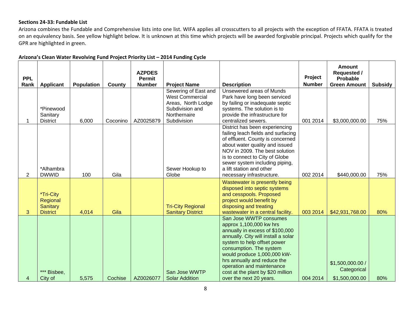#### **Sections 24‐33: Fundable List**

Arizona combines the Fundable and Comprehensive lists into one list. WIFA applies all crosscutters to all projects with the exception of FFATA. FFATA is treated on an equivalency basis. See yellow highlight below. It is unknown at this time which projects will be awarded forgivable principal. Projects which qualify for the GPR are highlighted in green.

| <b>PPL</b><br>Rank | <b>Applicant</b>                                            | <b>Population</b> | County   | <b>AZPDES</b><br><b>Permit</b><br><b>Number</b> | <b>Project Name</b>                                                                                                    | <b>Description</b>                                                                                                                                                                                                                                                                                                                               | Project<br><b>Number</b> | <b>Amount</b><br><b>Requested /</b><br><b>Probable</b><br><b>Green Amount</b> | <b>Subsidy</b> |
|--------------------|-------------------------------------------------------------|-------------------|----------|-------------------------------------------------|------------------------------------------------------------------------------------------------------------------------|--------------------------------------------------------------------------------------------------------------------------------------------------------------------------------------------------------------------------------------------------------------------------------------------------------------------------------------------------|--------------------------|-------------------------------------------------------------------------------|----------------|
|                    | *Pinewood<br>Sanitary<br><b>District</b>                    | 6,000             | Coconino | AZ0025879                                       | Sewering of East and<br><b>West Commercial</b><br>Areas, North Lodge<br>Subdivision and<br>Northernaire<br>Subdivision | Unsewered areas of Munds<br>Park have long been serviced<br>by failing or inadequate septic<br>systems. The solution is to<br>provide the infrastructure for<br>centralized sewers.                                                                                                                                                              | 001 2014                 | \$3,000,000.00                                                                | 75%            |
| $\overline{2}$     | *Alhambra<br><b>DWWID</b>                                   | 100               | Gila     |                                                 | Sewer Hookup to<br>Globe                                                                                               | District has been experiencing<br>failing leach fields and surfacing<br>of effluent. County is concerned<br>about water quality and issued<br>NOV in 2009. The best solution<br>is to connect to City of Globe<br>sewer system including piping,<br>a lift station and other<br>necessary infrastructure.                                        | 002 2014                 | \$440,000.00                                                                  | 75%            |
| 3                  | *Tri-City<br>Regional<br><b>Sanitary</b><br><b>District</b> | 4,014             | Gila     |                                                 | <b>Tri-City Regional</b><br><b>Sanitary District</b>                                                                   | Wastewater is presently being<br>disposed into septic systems<br>and cesspools. Proposed<br>project would benefit by<br>disposing and treating<br>wastewater in a central facility.                                                                                                                                                              | 003 2014                 | \$42,931,768.00                                                               | 80%            |
| 4                  | *** Bisbee,<br>City of                                      | 5,575             | Cochise  | AZ0026077                                       | San Jose WWTP<br><b>Solar Addition</b>                                                                                 | San Jose WWTP consumes<br>approx 1,100,000 kw hrs<br>annually in excess of \$100,000<br>annually. City will install a solar<br>system to help offset power<br>consumption. The system<br>would produce 1,000,000 kW-<br>hrs annually and reduce the<br>operation and maintenance<br>cost at the plant by \$20 million<br>over the next 20 years. | 004 2014                 | \$1,500,000.00 /<br>Categorical<br>\$1,500,000.00                             | 80%            |

#### **Arizona's Clean Water Revolving Fund Project Priority List – 2014 Funding Cycle**